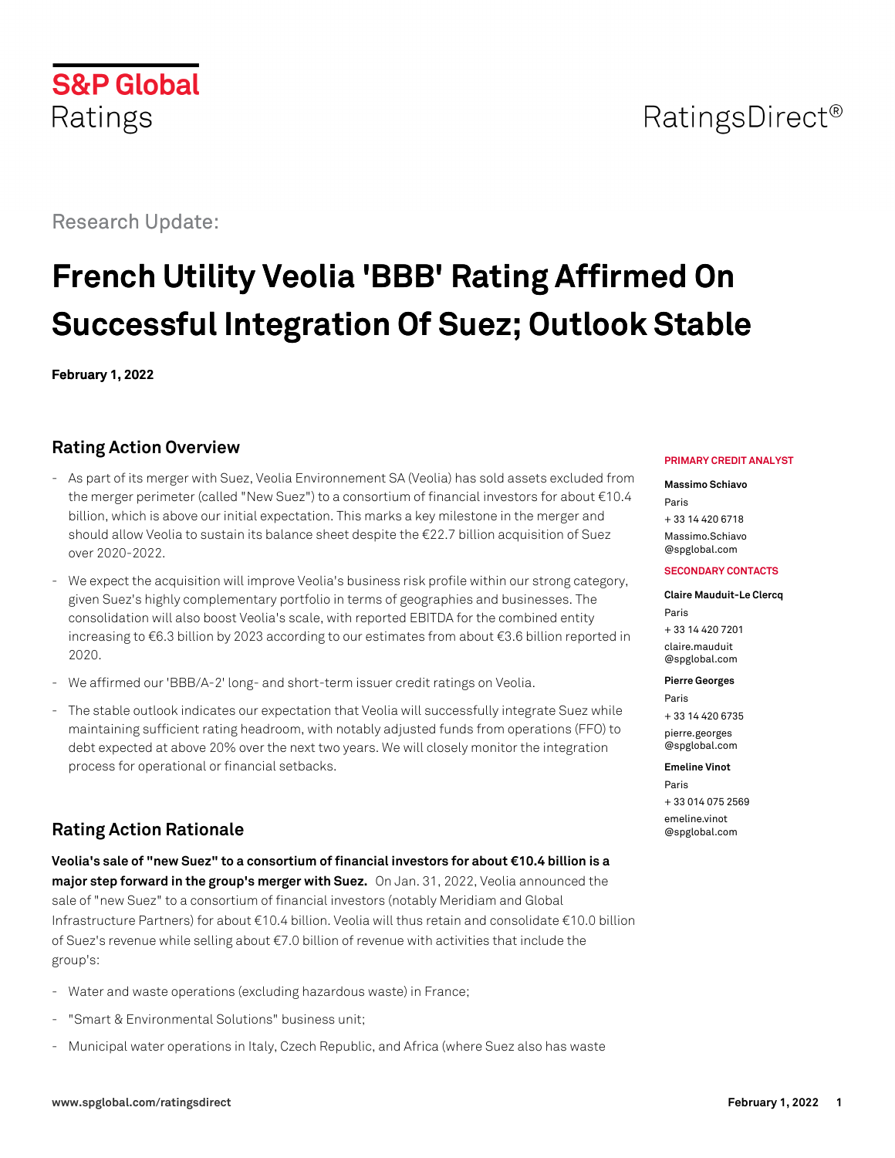# **S&P Global** Ratings

# Research Update:

# **French Utility Veolia 'BBB' Rating Affirmed On Successful Integration Of Suez; Outlook Stable**

**February 1, 2022**

# **Rating Action Overview**

- As part of its merger with Suez, Veolia Environnement SA (Veolia) has sold assets excluded from the merger perimeter (called "New Suez") to a consortium of financial investors for about €10.4 billion, which is above our initial expectation. This marks a key milestone in the merger and should allow Veolia to sustain its balance sheet despite the €22.7 billion acquisition of Suez over 2020-2022.
- We expect the acquisition will improve Veolia's business risk profile within our strong category, given Suez's highly complementary portfolio in terms of geographies and businesses. The consolidation will also boost Veolia's scale, with reported EBITDA for the combined entity increasing to €6.3 billion by 2023 according to our estimates from about €3.6 billion reported in 2020.
- We affirmed our 'BBB/A-2' long- and short-term issuer credit ratings on Veolia.
- The stable outlook indicates our expectation that Veolia will successfully integrate Suez while maintaining sufficient rating headroom, with notably adjusted funds from operations (FFO) to debt expected at above 20% over the next two years. We will closely monitor the integration process for operational or financial setbacks.

# **Rating Action Rationale**

**Veolia's sale of "new Suez" to a consortium of financial investors for about €10.4 billion is a major step forward in the group's merger with Suez.** On Jan. 31, 2022, Veolia announced the sale of "new Suez" to a consortium of financial investors (notably Meridiam and Global Infrastructure Partners) for about €10.4 billion. Veolia will thus retain and consolidate €10.0 billion of Suez's revenue while selling about €7.0 billion of revenue with activities that include the group's:

- Water and waste operations (excluding hazardous waste) in France;
- "Smart & Environmental Solutions" business unit;
- Municipal water operations in Italy, Czech Republic, and Africa (where Suez also has waste

#### **PRIMARY CREDIT ANALYST**

#### **Massimo Schiavo**

Paris + 33 14 420 6718 [Massimo.Schiavo](mailto:Massimo.Schiavo@spglobal.com)

[@spglobal.com](mailto:Massimo.Schiavo@spglobal.com)

#### **SECONDARY CONTACTS**

#### **Claire Mauduit-Le Clercq** Paris + 33 14 420 7201 [claire.mauduit](mailto:claire.mauduit@spglobal.com)

[@spglobal.com](mailto:claire.mauduit@spglobal.com)

**Pierre Georges**

Paris + 33 14 420 6735 [pierre.georges](mailto:pierre.georges@spglobal.com) [@spglobal.com](mailto:pierre.georges@spglobal.com)

#### **Emeline Vinot**

Paris + 33 014 075 2569 [emeline.vinot](mailto:emeline.vinot@spglobal.com) [@spglobal.com](mailto:emeline.vinot@spglobal.com)

# RatingsDirect<sup>®</sup>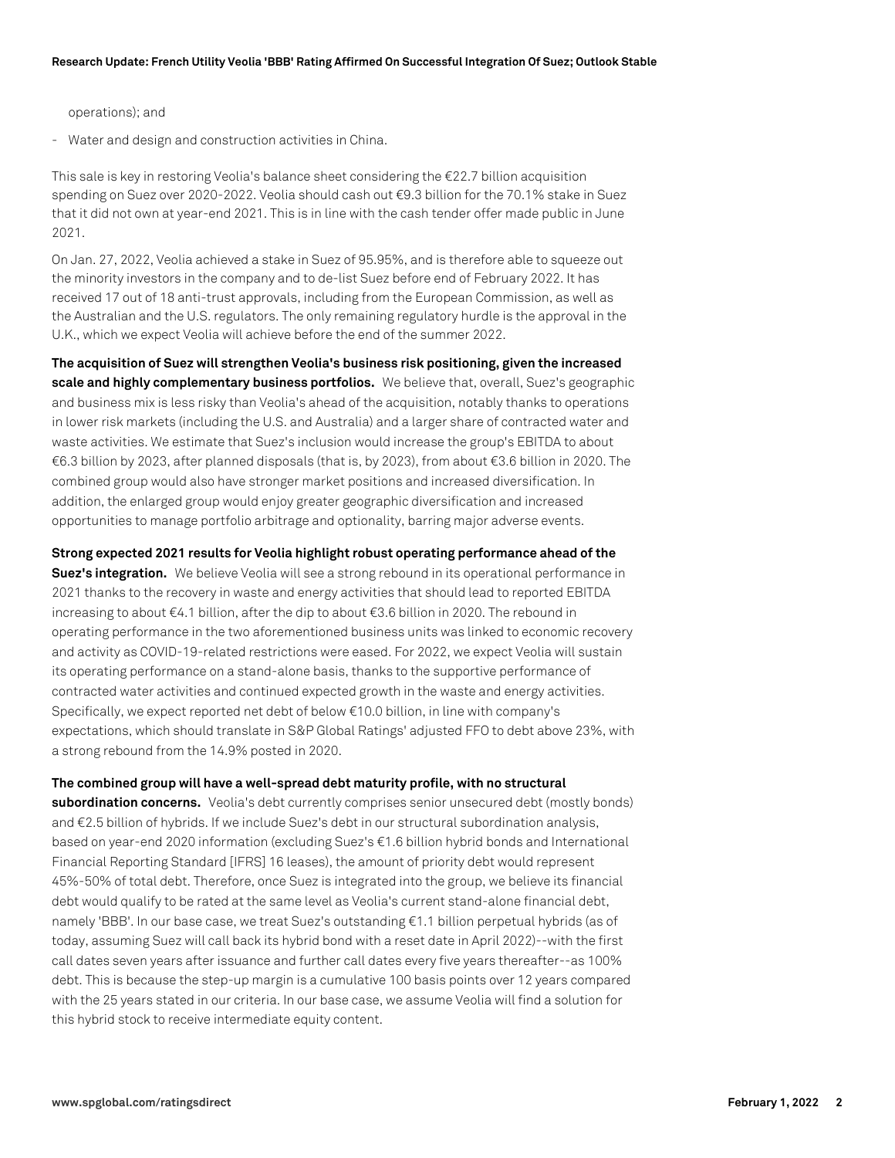operations); and

- Water and design and construction activities in China.

This sale is key in restoring Veolia's balance sheet considering the €22.7 billion acquisition spending on Suez over 2020-2022. Veolia should cash out €9.3 billion for the 70.1% stake in Suez that it did not own at year-end 2021. This is in line with the cash tender offer made public in June 2021.

On Jan. 27, 2022, Veolia achieved a stake in Suez of 95.95%, and is therefore able to squeeze out the minority investors in the company and to de-list Suez before end of February 2022. It has received 17 out of 18 anti-trust approvals, including from the European Commission, as well as the Australian and the U.S. regulators. The only remaining regulatory hurdle is the approval in the U.K., which we expect Veolia will achieve before the end of the summer 2022.

**The acquisition of Suez will strengthen Veolia's business risk positioning, given the increased scale and highly complementary business portfolios.** We believe that, overall, Suez's geographic and business mix is less risky than Veolia's ahead of the acquisition, notably thanks to operations in lower risk markets (including the U.S. and Australia) and a larger share of contracted water and waste activities. We estimate that Suez's inclusion would increase the group's EBITDA to about €6.3 billion by 2023, after planned disposals (that is, by 2023), from about €3.6 billion in 2020. The combined group would also have stronger market positions and increased diversification. In addition, the enlarged group would enjoy greater geographic diversification and increased opportunities to manage portfolio arbitrage and optionality, barring major adverse events.

**Strong expected 2021 results for Veolia highlight robust operating performance ahead of the Suez's integration.** We believe Veolia will see a strong rebound in its operational performance in 2021 thanks to the recovery in waste and energy activities that should lead to reported EBITDA increasing to about €4.1 billion, after the dip to about €3.6 billion in 2020. The rebound in operating performance in the two aforementioned business units was linked to economic recovery and activity as COVID-19-related restrictions were eased. For 2022, we expect Veolia will sustain its operating performance on a stand-alone basis, thanks to the supportive performance of contracted water activities and continued expected growth in the waste and energy activities. Specifically, we expect reported net debt of below €10.0 billion, in line with company's expectations, which should translate in S&P Global Ratings' adjusted FFO to debt above 23%, with a strong rebound from the 14.9% posted in 2020.

**The combined group will have a well-spread debt maturity profile, with no structural subordination concerns.** Veolia's debt currently comprises senior unsecured debt (mostly bonds) and €2.5 billion of hybrids. If we include Suez's debt in our structural subordination analysis, based on year-end 2020 information (excluding Suez's €1.6 billion hybrid bonds and International Financial Reporting Standard [IFRS] 16 leases), the amount of priority debt would represent 45%-50% of total debt. Therefore, once Suez is integrated into the group, we believe its financial debt would qualify to be rated at the same level as Veolia's current stand-alone financial debt, namely 'BBB'. In our base case, we treat Suez's outstanding €1.1 billion perpetual hybrids (as of today, assuming Suez will call back its hybrid bond with a reset date in April 2022)--with the first call dates seven years after issuance and further call dates every five years thereafter--as 100% debt. This is because the step-up margin is a cumulative 100 basis points over 12 years compared with the 25 years stated in our criteria. In our base case, we assume Veolia will find a solution for this hybrid stock to receive intermediate equity content.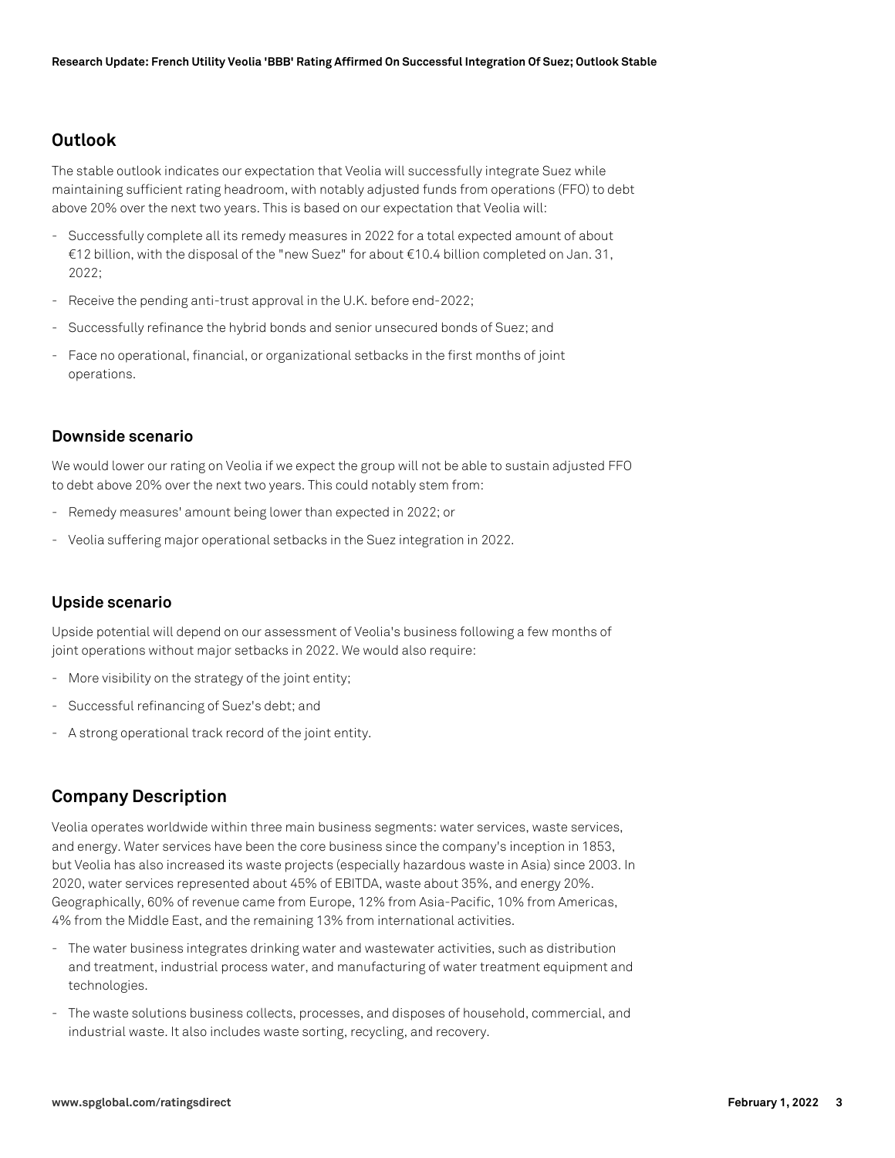#### **Outlook**

The stable outlook indicates our expectation that Veolia will successfully integrate Suez while maintaining sufficient rating headroom, with notably adjusted funds from operations (FFO) to debt above 20% over the next two years. This is based on our expectation that Veolia will:

- Successfully complete all its remedy measures in 2022 for a total expected amount of about €12 billion, with the disposal of the "new Suez" for about €10.4 billion completed on Jan. 31, 2022;
- Receive the pending anti-trust approval in the U.K. before end-2022;
- Successfully refinance the hybrid bonds and senior unsecured bonds of Suez; and
- Face no operational, financial, or organizational setbacks in the first months of joint operations.

#### **Downside scenario**

We would lower our rating on Veolia if we expect the group will not be able to sustain adjusted FFO to debt above 20% over the next two years. This could notably stem from:

- Remedy measures' amount being lower than expected in 2022; or
- Veolia suffering major operational setbacks in the Suez integration in 2022.

#### **Upside scenario**

Upside potential will depend on our assessment of Veolia's business following a few months of joint operations without major setbacks in 2022. We would also require:

- More visibility on the strategy of the joint entity;
- Successful refinancing of Suez's debt; and
- A strong operational track record of the joint entity.

## **Company Description**

Veolia operates worldwide within three main business segments: water services, waste services, and energy. Water services have been the core business since the company's inception in 1853, but Veolia has also increased its waste projects (especially hazardous waste in Asia) since 2003. In 2020, water services represented about 45% of EBITDA, waste about 35%, and energy 20%. Geographically, 60% of revenue came from Europe, 12% from Asia-Pacific, 10% from Americas, 4% from the Middle East, and the remaining 13% from international activities.

- The water business integrates drinking water and wastewater activities, such as distribution and treatment, industrial process water, and manufacturing of water treatment equipment and technologies.
- The waste solutions business collects, processes, and disposes of household, commercial, and industrial waste. It also includes waste sorting, recycling, and recovery.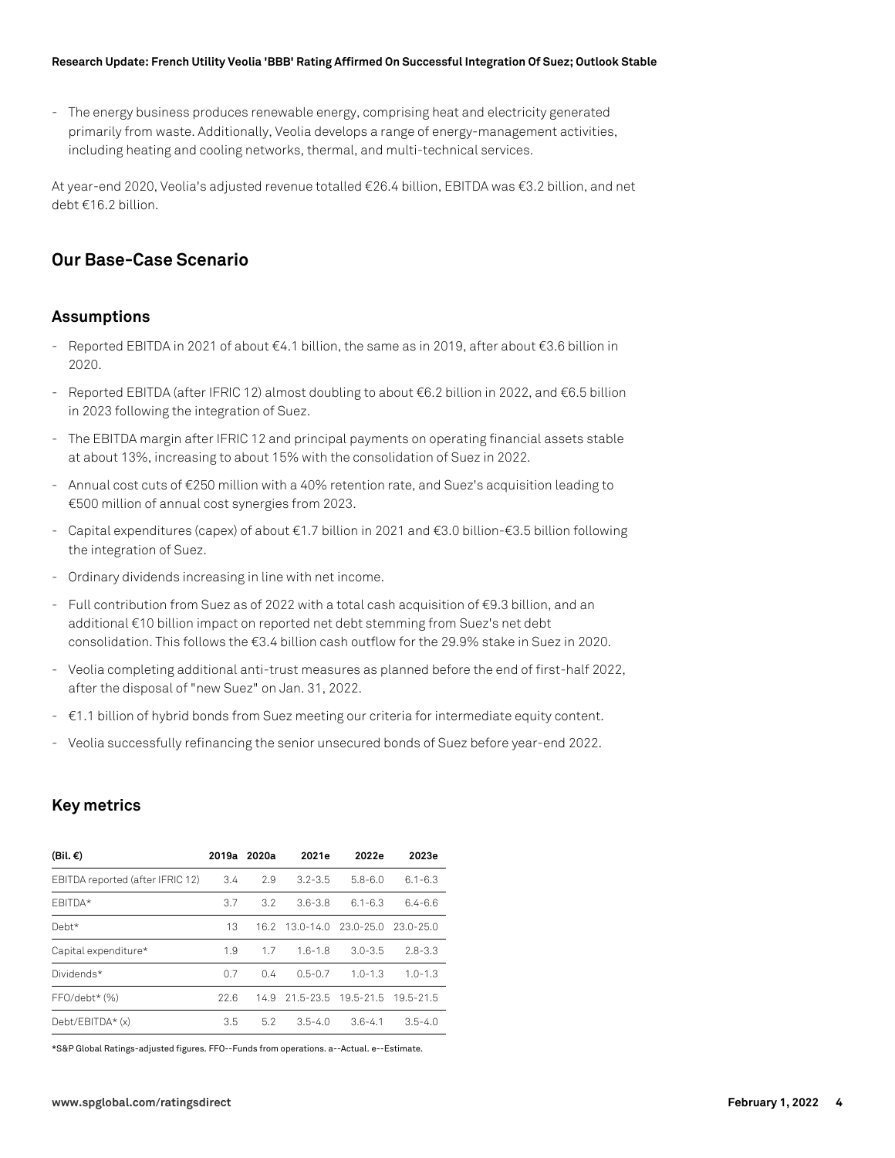#### **Research Update: French Utility Veolia 'BBB' Rating Affirmed On Successful Integration Of Suez; Outlook Stable**

- The energy business produces renewable energy, comprising heat and electricity generated primarily from waste. Additionally, Veolia develops a range of energy-management activities, including heating and cooling networks, thermal, and multi-technical services.

At year-end 2020, Veolia's adjusted revenue totalled €26.4 billion, EBITDA was €3.2 billion, and net debt €16.2 billion.

### **Our Base-Case Scenario**

#### **Assumptions**

- Reported EBITDA in 2021 of about €4.1 billion, the same as in 2019, after about €3.6 billion in 2020.
- Reported EBITDA (after IFRIC 12) almost doubling to about €6.2 billion in 2022, and €6.5 billion in 2023 following the integration of Suez.
- The EBITDA margin after IFRIC 12 and principal payments on operating financial assets stable at about 13%, increasing to about 15% with the consolidation of Suez in 2022.
- Annual cost cuts of €250 million with a 40% retention rate, and Suez's acquisition leading to €500 million of annual cost synergies from 2023.
- Capital expenditures (capex) of about €1.7 billion in 2021 and €3.0 billion-€3.5 billion following the integration of Suez.
- Ordinary dividends increasing in line with net income.
- Full contribution from Suez as of 2022 with a total cash acquisition of €9.3 billion, and an additional €10 billion impact on reported net debt stemming from Suez's net debt consolidation. This follows the €3.4 billion cash outflow for the 29.9% stake in Suez in 2020.
- Veolia completing additional anti-trust measures as planned before the end of first-half 2022, after the disposal of "new Suez" on Jan. 31, 2022.
- €1.1 billion of hybrid bonds from Suez meeting our criteria for intermediate equity content.
- Veolia successfully refinancing the senior unsecured bonds of Suez before year-end 2022.

#### **Key metrics**

| (Bil. €)                         | 2019a | 2020a         | 2021e         | 2022e         | 2023e       |
|----------------------------------|-------|---------------|---------------|---------------|-------------|
| EBITDA reported (after IFRIC 12) | 3.4   | 2.9           | $3.2 - 3.5$   | $5.8 - 6.0$   | $6.1 - 6.3$ |
| FBITDA*                          | 3.7   | $3.2^{\circ}$ | $3.6 - 3.8$   | $6.1 - 6.3$   | $6.4 - 6.6$ |
| Debt*                            | 13    | 16.2          | $13.0 - 14.0$ | 23.0-25.0     | 23.0-25.0   |
| Capital expenditure*             | 1.9   | 17            | $1.6 - 1.8$   | $3.0 - 3.5$   | $2.8 - 3.3$ |
| Dividends*                       | 0.7   | 0.4           | $0.5 - 0.7$   | $1.0 - 1.3$   | $1.0 - 1.3$ |
| $FFO/debt*$ $(\%)$               | 22.6  | 14.9          | 21.5-23.5     | $19.5 - 21.5$ | 19.5-21.5   |
| Debt/EBITDA* (x)                 | 3.5   | 5.2           | $3.5 - 4.0$   | $3.6 - 4.1$   | $3.5 - 4.0$ |

\*S&P Global Ratings-adjusted figures. FFO--Funds from operations. a--Actual. e--Estimate.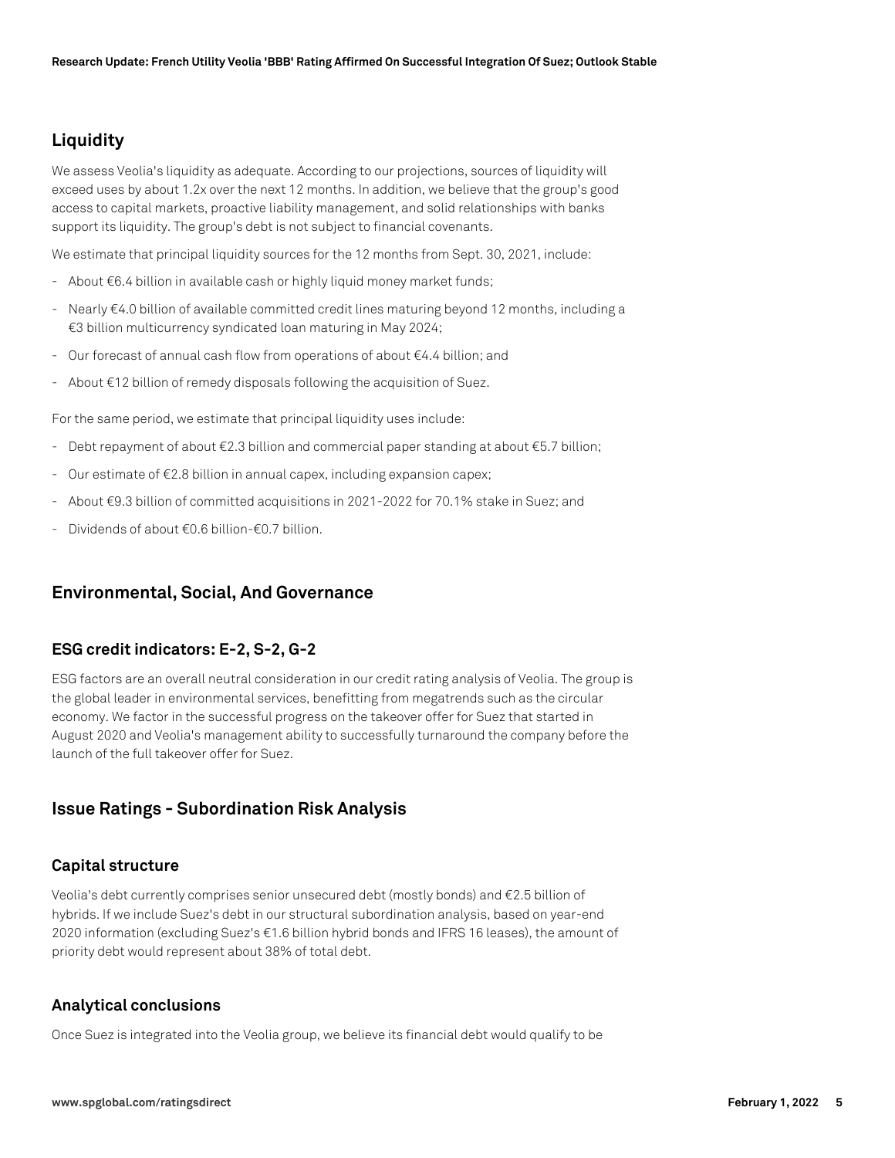# **Liquidity**

We assess Veolia's liquidity as adequate. According to our projections, sources of liquidity will exceed uses by about 1.2x over the next 12 months. In addition, we believe that the group's good access to capital markets, proactive liability management, and solid relationships with banks support its liquidity. The group's debt is not subject to financial covenants.

We estimate that principal liquidity sources for the 12 months from Sept. 30, 2021, include:

- About €6.4 billion in available cash or highly liquid money market funds;
- Nearly €4.0 billion of available committed credit lines maturing beyond 12 months, including a €3 billion multicurrency syndicated loan maturing in May 2024;
- Our forecast of annual cash flow from operations of about €4.4 billion; and
- About €12 billion of remedy disposals following the acquisition of Suez.

For the same period, we estimate that principal liquidity uses include:

- Debt repayment of about €2.3 billion and commercial paper standing at about €5.7 billion;
- Our estimate of €2.8 billion in annual capex, including expansion capex;
- About €9.3 billion of committed acquisitions in 2021-2022 for 70.1% stake in Suez; and
- Dividends of about €0.6 billion-€0.7 billion.

#### **Environmental, Social, And Governance**

#### **ESG credit indicators: E-2, S-2, G-2**

ESG factors are an overall neutral consideration in our credit rating analysis of Veolia. The group is the global leader in environmental services, benefitting from megatrends such as the circular economy. We factor in the successful progress on the takeover offer for Suez that started in August 2020 and Veolia's management ability to successfully turnaround the company before the launch of the full takeover offer for Suez.

### **Issue Ratings - Subordination Risk Analysis**

#### **Capital structure**

Veolia's debt currently comprises senior unsecured debt (mostly bonds) and €2.5 billion of hybrids. If we include Suez's debt in our structural subordination analysis, based on year-end 2020 information (excluding Suez's €1.6 billion hybrid bonds and IFRS 16 leases), the amount of priority debt would represent about 38% of total debt.

#### **Analytical conclusions**

Once Suez is integrated into the Veolia group, we believe its financial debt would qualify to be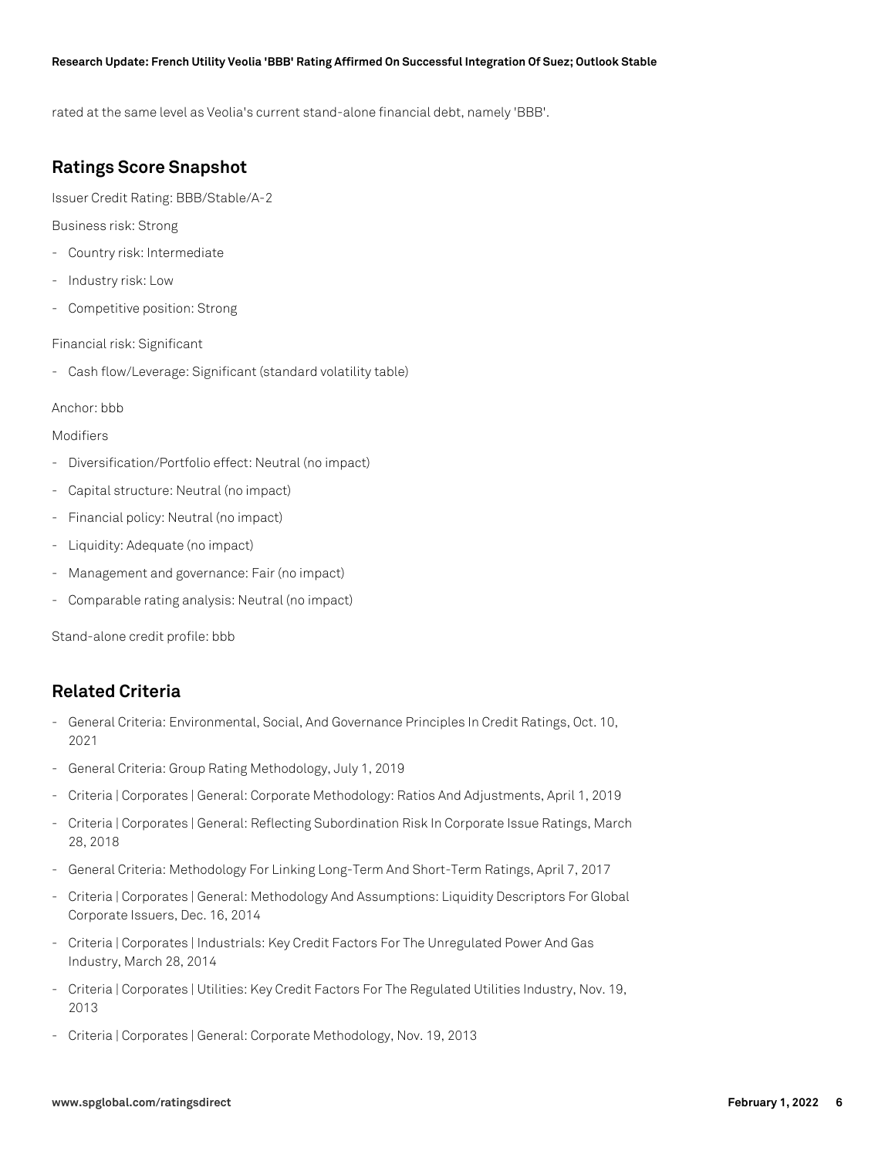#### **Research Update: French Utility Veolia 'BBB' Rating Affirmed On Successful Integration Of Suez; Outlook Stable**

rated at the same level as Veolia's current stand-alone financial debt, namely 'BBB'.

## **Ratings Score Snapshot**

Issuer Credit Rating: BBB/Stable/A-2

Business risk: Strong

- Country risk: Intermediate
- Industry risk: Low
- Competitive position: Strong

Financial risk: Significant

- Cash flow/Leverage: Significant (standard volatility table)

#### Anchor: bbb

#### Modifiers

- Diversification/Portfolio effect: Neutral (no impact)
- Capital structure: Neutral (no impact)
- Financial policy: Neutral (no impact)
- Liquidity: Adequate (no impact)
- Management and governance: Fair (no impact)
- Comparable rating analysis: Neutral (no impact)

Stand-alone credit profile: bbb

### **Related Criteria**

- General Criteria: Environmental, Social, And Governance Principles In Credit Ratings, Oct. 10, 2021
- General Criteria: Group Rating Methodology, July 1, 2019
- Criteria | Corporates | General: Corporate Methodology: Ratios And Adjustments, April 1, 2019
- Criteria | Corporates | General: Reflecting Subordination Risk In Corporate Issue Ratings, March 28, 2018
- General Criteria: Methodology For Linking Long-Term And Short-Term Ratings, April 7, 2017
- Criteria | Corporates | General: Methodology And Assumptions: Liquidity Descriptors For Global Corporate Issuers, Dec. 16, 2014
- Criteria | Corporates | Industrials: Key Credit Factors For The Unregulated Power And Gas Industry, March 28, 2014
- Criteria | Corporates | Utilities: Key Credit Factors For The Regulated Utilities Industry, Nov. 19, 2013
- Criteria | Corporates | General: Corporate Methodology, Nov. 19, 2013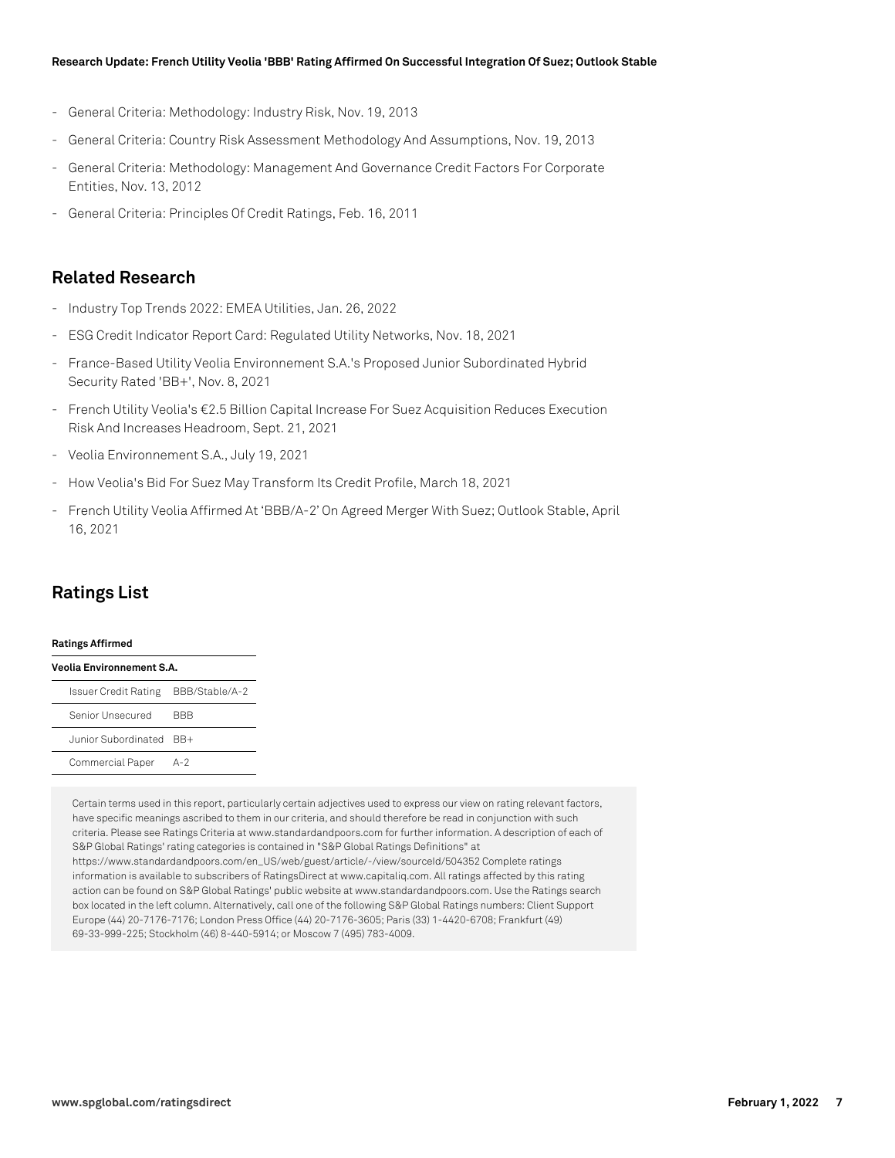#### **Research Update: French Utility Veolia 'BBB' Rating Affirmed On Successful Integration Of Suez; Outlook Stable**

- General Criteria: Methodology: Industry Risk, Nov. 19, 2013
- General Criteria: Country Risk Assessment Methodology And Assumptions, Nov. 19, 2013
- General Criteria: Methodology: Management And Governance Credit Factors For Corporate Entities, Nov. 13, 2012
- General Criteria: Principles Of Credit Ratings, Feb. 16, 2011

### **Related Research**

- Industry Top Trends 2022: EMEA Utilities, Jan. 26, 2022
- ESG Credit Indicator Report Card: Regulated Utility Networks, Nov. 18, 2021
- France-Based Utility Veolia Environnement S.A.'s Proposed Junior Subordinated Hybrid Security Rated 'BB+', Nov. 8, 2021
- French Utility Veolia's €2.5 Billion Capital Increase For Suez Acquisition Reduces Execution Risk And Increases Headroom, Sept. 21, 2021
- Veolia Environnement S.A., July 19, 2021
- How Veolia's Bid For Suez May Transform Its Credit Profile, March 18, 2021
- French Utility Veolia Affirmed At 'BBB/A-2' On Agreed Merger With Suez; Outlook Stable, April 16, 2021

## **Ratings List**

#### **Ratings Affirmed**

| Veolia Environnement S.A.           |       |  |  |  |  |
|-------------------------------------|-------|--|--|--|--|
| Issuer Credit Rating BBB/Stable/A-2 |       |  |  |  |  |
| Senior Unsecured                    | BBB   |  |  |  |  |
| Junior Subordinated BB+             |       |  |  |  |  |
| Commercial Paper                    | $A-2$ |  |  |  |  |

Certain terms used in this report, particularly certain adjectives used to express our view on rating relevant factors, have specific meanings ascribed to them in our criteria, and should therefore be read in conjunction with such criteria. Please see Ratings Criteria at www.standardandpoors.com for further information. A description of each of S&P Global Ratings' rating categories is contained in "S&P Global Ratings Definitions" at https://www.standardandpoors.com/en\_US/web/guest/article/-/view/sourceId/504352 Complete ratings information is available to subscribers of RatingsDirect at www.capitaliq.com. All ratings affected by this rating action can be found on S&P Global Ratings' public website at www.standardandpoors.com. Use the Ratings search box located in the left column. Alternatively, call one of the following S&P Global Ratings numbers: Client Support Europe (44) 20-7176-7176; London Press Office (44) 20-7176-3605; Paris (33) 1-4420-6708; Frankfurt (49) 69-33-999-225; Stockholm (46) 8-440-5914; or Moscow 7 (495) 783-4009.